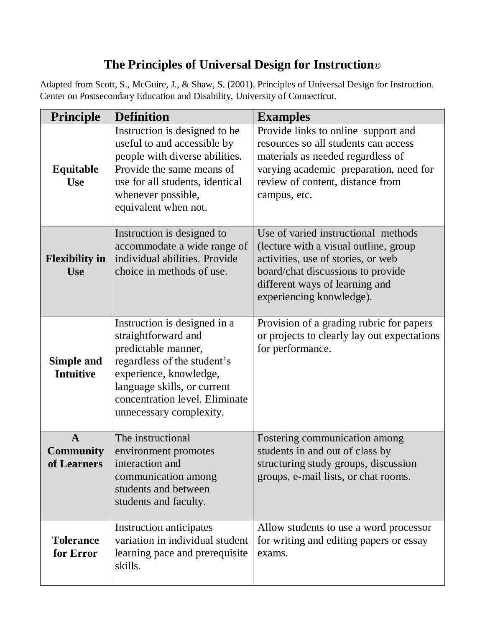## **The Principles of Universal Design for Instruction©**

Adapted from Scott, S., McGuire, J., & Shaw, S. (2001). Principles of Universal Design for Instruction. Center on Postsecondary Education and Disability, University of Connecticut.

| <b>Principle</b>                                | <b>Definition</b>                                                                                                                                                                                                               | <b>Examples</b>                                                                                                                                                                                                       |
|-------------------------------------------------|---------------------------------------------------------------------------------------------------------------------------------------------------------------------------------------------------------------------------------|-----------------------------------------------------------------------------------------------------------------------------------------------------------------------------------------------------------------------|
| Equitable<br><b>Use</b>                         | Instruction is designed to be<br>useful to and accessible by<br>people with diverse abilities.<br>Provide the same means of<br>use for all students, identical<br>whenever possible,<br>equivalent when not.                    | Provide links to online support and<br>resources so all students can access<br>materials as needed regardless of<br>varying academic preparation, need for<br>review of content, distance from<br>campus, etc.        |
| <b>Flexibility in</b><br><b>Use</b>             | Instruction is designed to<br>accommodate a wide range of<br>individual abilities. Provide<br>choice in methods of use.                                                                                                         | Use of varied instructional methods<br>(lecture with a visual outline, group<br>activities, use of stories, or web<br>board/chat discussions to provide<br>different ways of learning and<br>experiencing knowledge). |
| <b>Simple and</b><br><b>Intuitive</b>           | Instruction is designed in a<br>straightforward and<br>predictable manner,<br>regardless of the student's<br>experience, knowledge,<br>language skills, or current<br>concentration level. Eliminate<br>unnecessary complexity. | Provision of a grading rubric for papers<br>or projects to clearly lay out expectations<br>for performance.                                                                                                           |
| $\mathbf{A}$<br><b>Community</b><br>of Learners | The instructional<br>environment promotes<br>interaction and<br>communication among<br>students and between<br>students and faculty.                                                                                            | Fostering communication among<br>students in and out of class by<br>structuring study groups, discussion<br>groups, e-mail lists, or chat rooms.                                                                      |
| <b>Tolerance</b><br>for Error                   | <b>Instruction anticipates</b><br>variation in individual student<br>learning pace and prerequisite<br>skills.                                                                                                                  | Allow students to use a word processor<br>for writing and editing papers or essay<br>exams.                                                                                                                           |